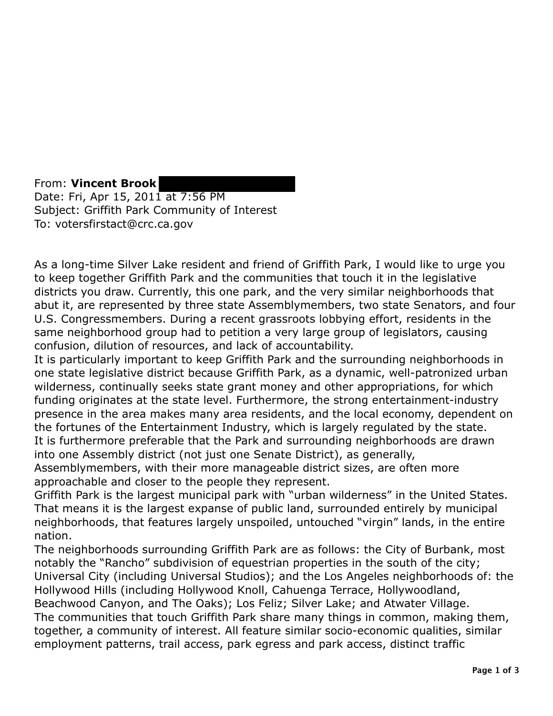From: **Vincent Brook**  Date: Fri, Apr 15, 2011 at 7:56 PM Subject: Griffith Park Community of Interest To: votersfirstact@crc.ca.gov

As a long-time Silver Lake resident and friend of Griffith Park, I would like to urge you to keep together Griffith Park and the communities that touch it in the legislative districts you draw. Currently, this one park, and the very similar neighborhoods that abut it, are represented by three state Assemblymembers, two state Senators, and four U.S. Congressmembers. During a recent grassroots lobbying effort, residents in the same neighborhood group had to petition a very large group of legislators, causing confusion, dilution of resources, and lack of accountability.

It is particularly important to keep Griffith Park and the surrounding neighborhoods in one state legislative district because Griffith Park, as a dynamic, well-patronized urban wilderness, continually seeks state grant money and other appropriations, for which funding originates at the state level. Furthermore, the strong entertainment-industry presence in the area makes many area residents, and the local economy, dependent on the fortunes of the Entertainment Industry, which is largely regulated by the state. It is furthermore preferable that the Park and surrounding neighborhoods are drawn into one Assembly district (not just one Senate District), as generally,

Assemblymembers, with their more manageable district sizes, are often more approachable and closer to the people they represent.

Griffith Park is the largest municipal park with "urban wilderness" in the United States. That means it is the largest expanse of public land, surrounded entirely by municipal neighborhoods, that features largely unspoiled, untouched "virgin" lands, in the entire nation.

The neighborhoods surrounding Griffith Park are as follows: the City of Burbank, most notably the "Rancho" subdivision of equestrian properties in the south of the city; Universal City (including Universal Studios); and the Los Angeles neighborhoods of: the Hollywood Hills (including Hollywood Knoll, Cahuenga Terrace, Hollywoodland, Beachwood Canyon, and The Oaks); Los Feliz; Silver Lake; and Atwater Village. The communities that touch Griffith Park share many things in common, making them, together, a community of interest. All feature similar socio-economic qualities, similar employment patterns, trail access, park egress and park access, distinct traffic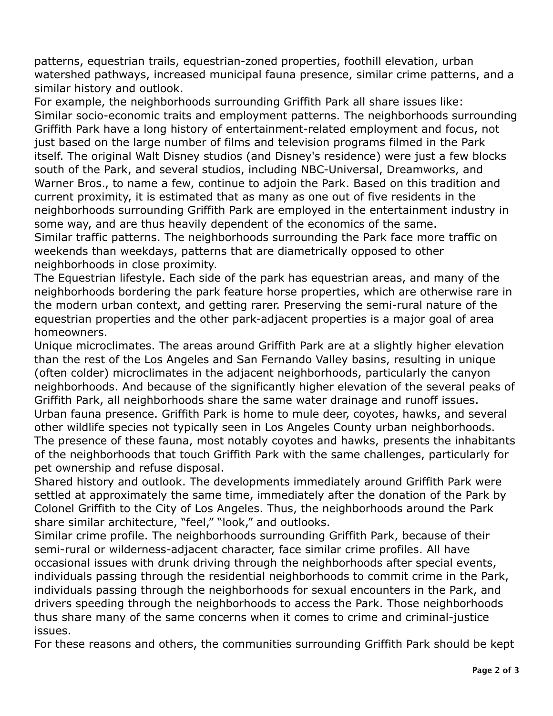patterns, equestrian trails, equestrian-zoned properties, foothill elevation, urban watershed pathways, increased municipal fauna presence, similar crime patterns, and a similar history and outlook.

 For example, the neighborhoods surrounding Griffith Park all share issues like: Similar socio-economic traits and employment patterns. The neighborhoods surrounding Griffith Park have a long history of entertainment-related employment and focus, not just based on the large number of films and television programs filmed in the Park itself. The original Walt Disney studios (and Disney's residence) were just a few blocks south of the Park, and several studios, including NBC-Universal, Dreamworks, and Warner Bros., to name a few, continue to adjoin the Park. Based on this tradition and current proximity, it is estimated that as many as one out of five residents in the neighborhoods surrounding Griffith Park are employed in the entertainment industry in some way, and are thus heavily dependent of the economics of the same. Similar traffic patterns. The neighborhoods surrounding the Park face more traffic on weekends than weekdays, patterns that are diametrically opposed to other

neighborhoods in close proximity.

 The Equestrian lifestyle. Each side of the park has equestrian areas, and many of the neighborhoods bordering the park feature horse properties, which are otherwise rare in the modern urban context, and getting rarer. Preserving the semi-rural nature of the equestrian properties and the other park-adjacent properties is a major goal of area homeowners.

homeowners.<br>Unique microclimates. The areas around Griffith Park are at a slightly higher elevation than the rest of the Los Angeles and San Fernando Valley basins, resulting in unique (often colder) microclimates in the adjacent neighborhoods, particularly the canyon neighborhoods. And because of the significantly higher elevation of the several peaks of Griffith Park, all neighborhoods share the same water drainage and runoff issues. Urban fauna presence. Griffith Park is home to mule deer, coyotes, hawks, and several other wildlife species not typically seen in Los Angeles County urban neighborhoods. The presence of these fauna, most notably coyotes and hawks, presents the inhabitants of the neighborhoods that touch Griffith Park with the same challenges, particularly for pet ownership and refuse disposal.

 Shared history and outlook. The developments immediately around Griffith Park were settled at approximately the same time, immediately after the donation of the Park by Colonel Griffith to the City of Los Angeles. Thus, the neighborhoods around the Park share similar architecture, "feel," "look," and outlooks.

 Similar crime profile. The neighborhoods surrounding Griffith Park, because of their semi-rural or wilderness-adjacent character, face similar crime profiles. All have occasional issues with drunk driving through the neighborhoods after special events, individuals passing through the residential neighborhoods to commit crime in the Park, individuals passing through the neighborhoods for sexual encounters in the Park, and drivers speeding through the neighborhoods to access the Park. Those neighborhoods thus share many of the same concerns when it comes to crime and criminal-justice issues.

issues.<br>For these reasons and others, the communities surrounding Griffith Park should be kept